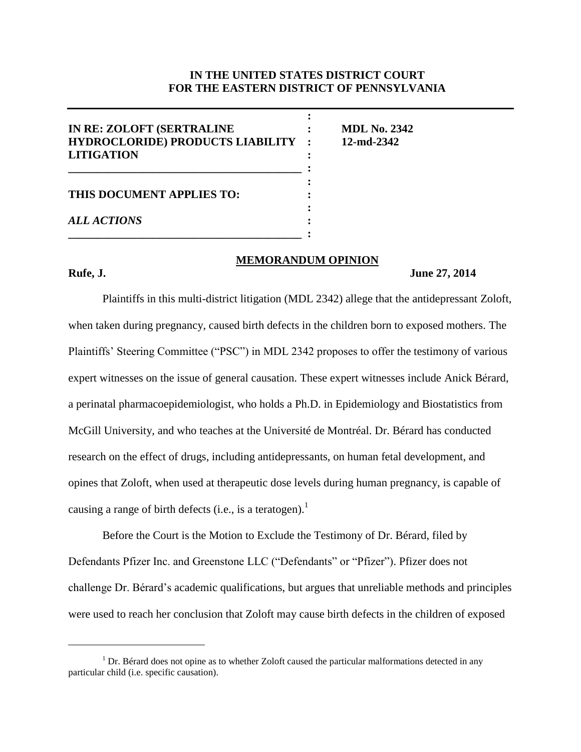# **IN THE UNITED STATES DISTRICT COURT FOR THE EASTERN DISTRICT OF PENNSYLVANIA**

| IN RE: ZOLOFT (SERTRALINE<br><b>HYDROCLORIDE) PRODUCTS LIABILITY :</b><br><b>LITIGATION</b> | <b>MDL No. 2342</b><br>12-md-2342 |
|---------------------------------------------------------------------------------------------|-----------------------------------|
| THIS DOCUMENT APPLIES TO:                                                                   |                                   |
| <b>ALL ACTIONS</b>                                                                          |                                   |

#### **MEMORANDUM OPINION**

 $\overline{a}$ 

#### **Rufe, J. June 27, 2014**

Plaintiffs in this multi-district litigation (MDL 2342) allege that the antidepressant Zoloft, when taken during pregnancy, caused birth defects in the children born to exposed mothers. The Plaintiffs' Steering Committee ("PSC") in MDL 2342 proposes to offer the testimony of various expert witnesses on the issue of general causation. These expert witnesses include Anick Berard, a perinatal pharmacoepidemiologist, who holds a Ph.D. in Epidemiology and Biostatistics from McGill University, and who teaches at the Université de Montréal. Dr. Bérard has conducted research on the effect of drugs, including antidepressants, on human fetal development, and opines that Zoloft, when used at therapeutic dose levels during human pregnancy, is capable of causing a range of birth defects (i.e., is a teratogen).<sup>1</sup>

Before the Court is the Motion to Exclude the Testimony of Dr. Bérard, filed by Defendants Pfizer Inc. and Greenstone LLC ("Defendants" or "Pfizer"). Pfizer does not challenge Dr. Bérard's academic qualifications, but argues that unreliable methods and principles were used to reach her conclusion that Zoloft may cause birth defects in the children of exposed

 $<sup>1</sup>$  Dr. Bérard does not opine as to whether Zoloft caused the particular malformations detected in any</sup> particular child (i.e. specific causation).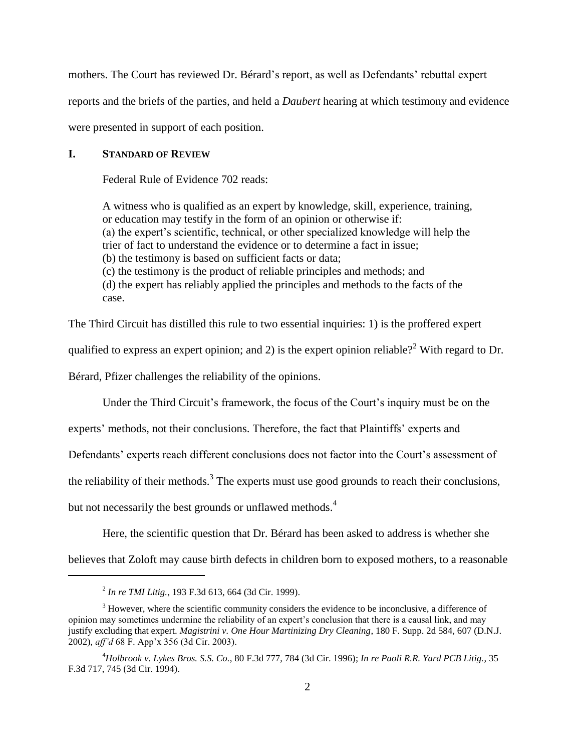mothers. The Court has reviewed Dr. Bérard's report, as well as Defendants' rebuttal expert

reports and the briefs of the parties, and held a *Daubert* hearing at which testimony and evidence

were presented in support of each position.

## **I. STANDARD OF REVIEW**

Federal Rule of Evidence 702 reads:

A witness who is qualified as an expert by knowledge, skill, experience, training, or education may testify in the form of an opinion or otherwise if: (a) the expert's scientific, technical, or other specialized knowledge will help the trier of fact to understand the evidence or to determine a fact in issue; (b) the testimony is based on sufficient facts or data; (c) the testimony is the product of reliable principles and methods; and (d) the expert has reliably applied the principles and methods to the facts of the case.

The Third Circuit has distilled this rule to two essential inquiries: 1) is the proffered expert

qualified to express an expert opinion; and 2) is the expert opinion reliable?<sup>2</sup> With regard to Dr.

Bérard, Pfizer challenges the reliability of the opinions.

Under the Third Circuit's framework, the focus of the Court's inquiry must be on the

experts' methods, not their conclusions. Therefore, the fact that Plaintiffs' experts and

Defendants' experts reach different conclusions does not factor into the Court's assessment of

the reliability of their methods.<sup>3</sup> The experts must use good grounds to reach their conclusions,

but not necessarily the best grounds or unflawed methods.<sup>4</sup>

Here, the scientific question that Dr. Bérard has been asked to address is whether she

believes that Zoloft may cause birth defects in children born to exposed mothers, to a reasonable

<sup>2</sup> *In re TMI Litig.*, 193 F.3d 613, 664 (3d Cir. 1999).

<sup>&</sup>lt;sup>3</sup> However, where the scientific community considers the evidence to be inconclusive, a difference of opinion may sometimes undermine the reliability of an expert's conclusion that there is a causal link, and may justify excluding that expert. *Magistrini v. One Hour Martinizing Dry Cleaning*, 180 F. Supp. 2d 584, 607 (D.N.J. 2002), *aff'd* 68 F. App'x 356 (3d Cir. 2003).

<sup>4</sup>*Holbrook v. Lykes Bros. S.S. Co.*, 80 F.3d 777, 784 (3d Cir. 1996); *In re Paoli R.R. Yard PCB Litig.*, 35 F.3d 717, 745 (3d Cir. 1994).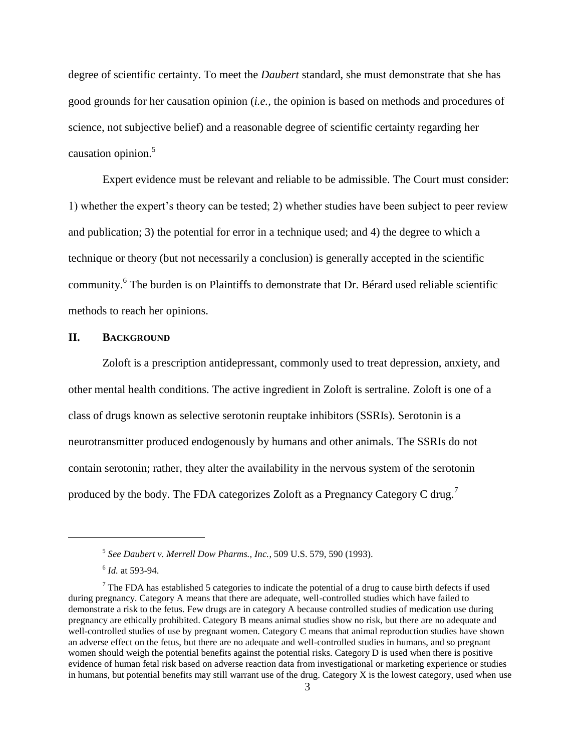degree of scientific certainty. To meet the *Daubert* standard, she must demonstrate that she has good grounds for her causation opinion (*i.e.,* the opinion is based on methods and procedures of science, not subjective belief) and a reasonable degree of scientific certainty regarding her causation opinion.<sup>5</sup>

Expert evidence must be relevant and reliable to be admissible. The Court must consider: 1) whether the expert's theory can be tested; 2) whether studies have been subject to peer review and publication; 3) the potential for error in a technique used; and 4) the degree to which a technique or theory (but not necessarily a conclusion) is generally accepted in the scientific community.<sup>6</sup> The burden is on Plaintiffs to demonstrate that Dr. Bérard used reliable scientific methods to reach her opinions.

#### **II. BACKGROUND**

Zoloft is a prescription antidepressant, commonly used to treat depression, anxiety, and other mental health conditions. The active ingredient in Zoloft is sertraline. Zoloft is one of a class of drugs known as selective serotonin reuptake inhibitors (SSRIs). Serotonin is a neurotransmitter produced endogenously by humans and other animals. The SSRIs do not contain serotonin; rather, they alter the availability in the nervous system of the serotonin produced by the body. The FDA categorizes Zoloft as a Pregnancy Category C drug.<sup>7</sup>

<sup>5</sup> *See Daubert v. Merrell Dow Pharms., Inc.*, 509 U.S. 579, 590 (1993).

<sup>6</sup> *Id.* at 593-94.

<sup>&</sup>lt;sup>7</sup> The FDA has established 5 categories to indicate the potential of a drug to cause birth defects if used during pregnancy. Category A means that there are adequate, well-controlled studies which have failed to demonstrate a risk to the fetus. Few drugs are in category A because controlled studies of medication use during pregnancy are ethically prohibited. Category B means animal studies show no risk, but there are no adequate and well-controlled studies of use by pregnant women. Category C means that animal reproduction studies have shown an adverse effect on the fetus, but there are no adequate and well-controlled studies in humans, and so pregnant women should weigh the potential benefits against the potential risks. Category D is used when there is positive evidence of human fetal risk based on adverse reaction data from investigational or marketing experience or studies in humans, but potential benefits may still warrant use of the drug. Category X is the lowest category, used when use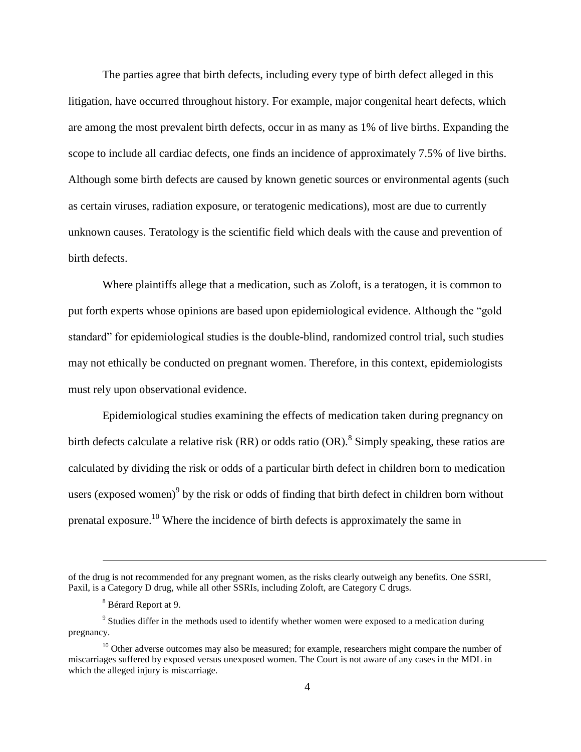The parties agree that birth defects, including every type of birth defect alleged in this litigation, have occurred throughout history. For example, major congenital heart defects, which are among the most prevalent birth defects, occur in as many as 1% of live births. Expanding the scope to include all cardiac defects, one finds an incidence of approximately 7.5% of live births. Although some birth defects are caused by known genetic sources or environmental agents (such as certain viruses, radiation exposure, or teratogenic medications), most are due to currently unknown causes. Teratology is the scientific field which deals with the cause and prevention of birth defects.

Where plaintiffs allege that a medication, such as Zoloft, is a teratogen, it is common to put forth experts whose opinions are based upon epidemiological evidence. Although the "gold standard" for epidemiological studies is the double-blind, randomized control trial, such studies may not ethically be conducted on pregnant women. Therefore, in this context, epidemiologists must rely upon observational evidence.

Epidemiological studies examining the effects of medication taken during pregnancy on birth defects calculate a relative risk  $(RR)$  or odds ratio  $(OR)^8$ . Simply speaking, these ratios are calculated by dividing the risk or odds of a particular birth defect in children born to medication users (exposed women) $\delta$  by the risk or odds of finding that birth defect in children born without prenatal exposure.<sup>10</sup> Where the incidence of birth defects is approximately the same in

of the drug is not recommended for any pregnant women, as the risks clearly outweigh any benefits. One SSRI, Paxil, is a Category D drug, while all other SSRIs, including Zoloft, are Category C drugs.

<sup>8</sup> Bérard Report at 9.

<sup>&</sup>lt;sup>9</sup> Studies differ in the methods used to identify whether women were exposed to a medication during pregnancy.

 $10$  Other adverse outcomes may also be measured; for example, researchers might compare the number of miscarriages suffered by exposed versus unexposed women. The Court is not aware of any cases in the MDL in which the alleged injury is miscarriage.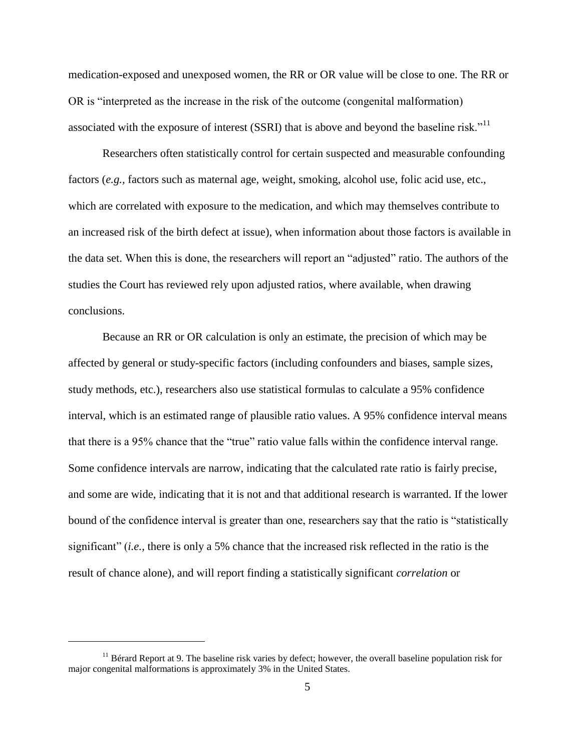medication-exposed and unexposed women, the RR or OR value will be close to one. The RR or OR is "interpreted as the increase in the risk of the outcome (congenital malformation) associated with the exposure of interest (SSRI) that is above and beyond the baseline risk."<sup>11</sup>

Researchers often statistically control for certain suspected and measurable confounding factors (*e.g.,* factors such as maternal age, weight, smoking, alcohol use, folic acid use, etc., which are correlated with exposure to the medication, and which may themselves contribute to an increased risk of the birth defect at issue), when information about those factors is available in the data set. When this is done, the researchers will report an "adjusted" ratio. The authors of the studies the Court has reviewed rely upon adjusted ratios, where available, when drawing conclusions.

Because an RR or OR calculation is only an estimate, the precision of which may be affected by general or study-specific factors (including confounders and biases, sample sizes, study methods, etc.), researchers also use statistical formulas to calculate a 95% confidence interval, which is an estimated range of plausible ratio values. A 95% confidence interval means that there is a 95% chance that the "true" ratio value falls within the confidence interval range. Some confidence intervals are narrow, indicating that the calculated rate ratio is fairly precise, and some are wide, indicating that it is not and that additional research is warranted. If the lower bound of the confidence interval is greater than one, researchers say that the ratio is "statistically significant" (*i.e.,* there is only a 5% chance that the increased risk reflected in the ratio is the result of chance alone), and will report finding a statistically significant *correlation* or

<sup>&</sup>lt;sup>11</sup> Bérard Report at 9. The baseline risk varies by defect; however, the overall baseline population risk for major congenital malformations is approximately 3% in the United States.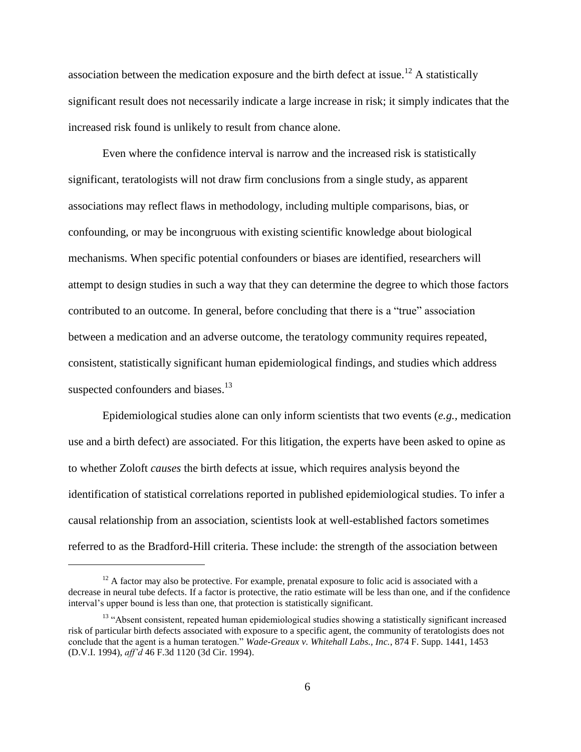association between the medication exposure and the birth defect at issue.<sup>12</sup> A statistically significant result does not necessarily indicate a large increase in risk; it simply indicates that the increased risk found is unlikely to result from chance alone.

Even where the confidence interval is narrow and the increased risk is statistically significant, teratologists will not draw firm conclusions from a single study, as apparent associations may reflect flaws in methodology, including multiple comparisons, bias, or confounding, or may be incongruous with existing scientific knowledge about biological mechanisms. When specific potential confounders or biases are identified, researchers will attempt to design studies in such a way that they can determine the degree to which those factors contributed to an outcome. In general, before concluding that there is a "true" association between a medication and an adverse outcome, the teratology community requires repeated, consistent, statistically significant human epidemiological findings, and studies which address suspected confounders and biases.<sup>13</sup>

Epidemiological studies alone can only inform scientists that two events (*e.g.,* medication use and a birth defect) are associated. For this litigation, the experts have been asked to opine as to whether Zoloft *causes* the birth defects at issue, which requires analysis beyond the identification of statistical correlations reported in published epidemiological studies. To infer a causal relationship from an association, scientists look at well-established factors sometimes referred to as the Bradford-Hill criteria. These include: the strength of the association between

 $12$  A factor may also be protective. For example, prenatal exposure to folic acid is associated with a decrease in neural tube defects. If a factor is protective, the ratio estimate will be less than one, and if the confidence interval's upper bound is less than one, that protection is statistically significant.

<sup>&</sup>lt;sup>13</sup> "Absent consistent, repeated human epidemiological studies showing a statistically significant increased risk of particular birth defects associated with exposure to a specific agent, the community of teratologists does not conclude that the agent is a human teratogen." *Wade-Greaux v. Whitehall Labs., Inc.*, 874 F. Supp. 1441, 1453 (D.V.I. 1994), *aff'd* 46 F.3d 1120 (3d Cir. 1994).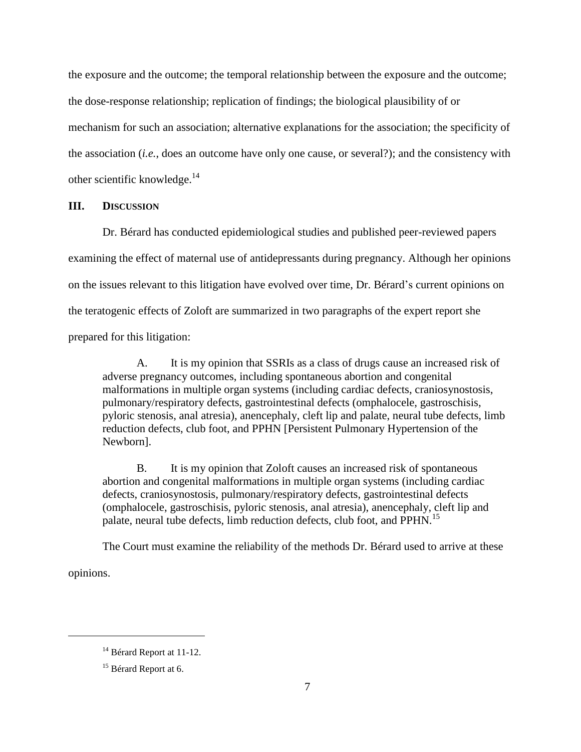the exposure and the outcome; the temporal relationship between the exposure and the outcome; the dose-response relationship; replication of findings; the biological plausibility of or mechanism for such an association; alternative explanations for the association; the specificity of the association (*i.e.*, does an outcome have only one cause, or several?); and the consistency with other scientific knowledge. $^{14}$ 

#### **III. DISCUSSION**

Dr. Bérard has conducted epidemiological studies and published peer-reviewed papers examining the effect of maternal use of antidepressants during pregnancy. Although her opinions on the issues relevant to this litigation have evolved over time, Dr. Bérard's current opinions on the teratogenic effects of Zoloft are summarized in two paragraphs of the expert report she prepared for this litigation:

A. It is my opinion that SSRIs as a class of drugs cause an increased risk of adverse pregnancy outcomes, including spontaneous abortion and congenital malformations in multiple organ systems (including cardiac defects, craniosynostosis, pulmonary/respiratory defects, gastrointestinal defects (omphalocele, gastroschisis, pyloric stenosis, anal atresia), anencephaly, cleft lip and palate, neural tube defects, limb reduction defects, club foot, and PPHN [Persistent Pulmonary Hypertension of the Newborn].

B. It is my opinion that Zoloft causes an increased risk of spontaneous abortion and congenital malformations in multiple organ systems (including cardiac defects, craniosynostosis, pulmonary/respiratory defects, gastrointestinal defects (omphalocele, gastroschisis, pyloric stenosis, anal atresia), anencephaly, cleft lip and palate, neural tube defects, limb reduction defects, club foot, and PPHN.<sup>15</sup>

The Court must examine the reliability of the methods Dr. Bérard used to arrive at these

opinions.

 $14$  Bérard Report at 11-12.

<sup>&</sup>lt;sup>15</sup> Bérard Report at 6.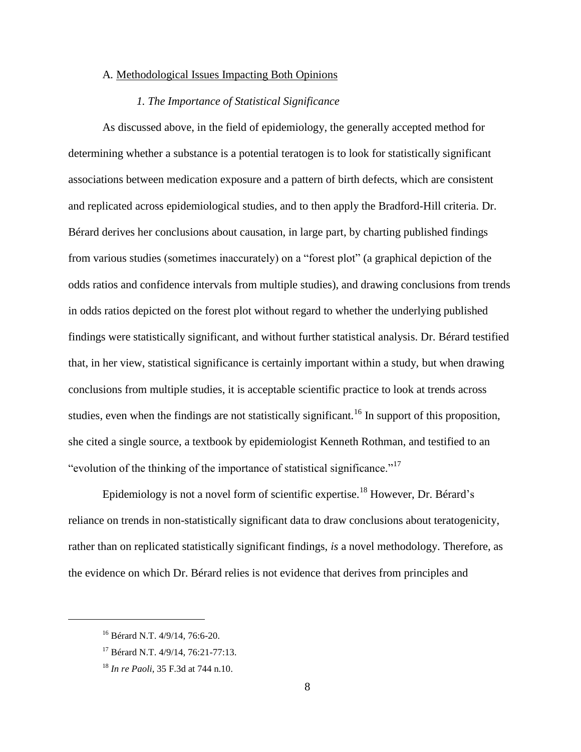#### A*.* Methodological Issues Impacting Both Opinions

# *1. The Importance of Statistical Significance*

As discussed above, in the field of epidemiology, the generally accepted method for determining whether a substance is a potential teratogen is to look for statistically significant associations between medication exposure and a pattern of birth defects, which are consistent and replicated across epidemiological studies, and to then apply the Bradford-Hill criteria. Dr. Bérard derives her conclusions about causation, in large part, by charting published findings from various studies (sometimes inaccurately) on a "forest plot" (a graphical depiction of the odds ratios and confidence intervals from multiple studies), and drawing conclusions from trends in odds ratios depicted on the forest plot without regard to whether the underlying published findings were statistically significant, and without further statistical analysis. Dr. Bérard testified that, in her view, statistical significance is certainly important within a study, but when drawing conclusions from multiple studies, it is acceptable scientific practice to look at trends across studies, even when the findings are not statistically significant.<sup>16</sup> In support of this proposition, she cited a single source, a textbook by epidemiologist Kenneth Rothman, and testified to an "evolution of the thinking of the importance of statistical significance."<sup>17</sup>

Epidemiology is not a novel form of scientific expertise.<sup>18</sup> However, Dr. Bérard's reliance on trends in non-statistically significant data to draw conclusions about teratogenicity, rather than on replicated statistically significant findings, *is* a novel methodology. Therefore, as the evidence on which Dr. Bérard relies is not evidence that derives from principles and

<sup>16</sup> Bérard N.T. 4/9/14, 76:6-20.

<sup>17</sup> Bérard N.T. 4/9/14, 76:21-77:13.

<sup>18</sup> *In re Paoli*, 35 F.3d at 744 n.10.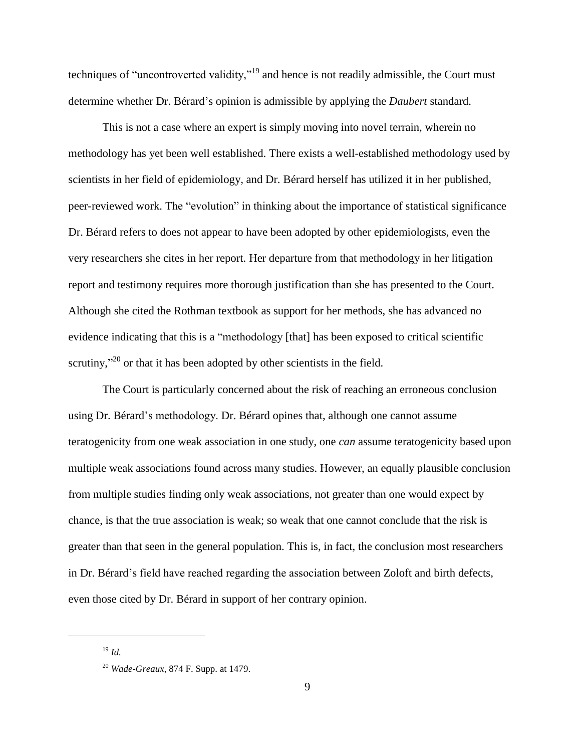techniques of "uncontroverted validity,"<sup>19</sup> and hence is not readily admissible, the Court must determine whether Dr. Bérard's opinion is admissible by applying the *Daubert* standard.

This is not a case where an expert is simply moving into novel terrain, wherein no methodology has yet been well established. There exists a well-established methodology used by scientists in her field of epidemiology, and Dr. Bérard herself has utilized it in her published, peer-reviewed work. The "evolution" in thinking about the importance of statistical significance Dr. Bérard refers to does not appear to have been adopted by other epidemiologists, even the very researchers she cites in her report. Her departure from that methodology in her litigation report and testimony requires more thorough justification than she has presented to the Court. Although she cited the Rothman textbook as support for her methods, she has advanced no evidence indicating that this is a "methodology [that] has been exposed to critical scientific scrutiny,"<sup>20</sup> or that it has been adopted by other scientists in the field.

The Court is particularly concerned about the risk of reaching an erroneous conclusion using Dr. Bérard's methodology. Dr. Bérard opines that, although one cannot assume teratogenicity from one weak association in one study, one *can* assume teratogenicity based upon multiple weak associations found across many studies. However, an equally plausible conclusion from multiple studies finding only weak associations, not greater than one would expect by chance, is that the true association is weak; so weak that one cannot conclude that the risk is greater than that seen in the general population. This is, in fact, the conclusion most researchers in Dr. Bérard's field have reached regarding the association between Zoloft and birth defects, even those cited by Dr. Bérard in support of her contrary opinion.

<sup>19</sup> *Id.*

<sup>20</sup> *Wade-Greaux*, 874 F. Supp. at 1479.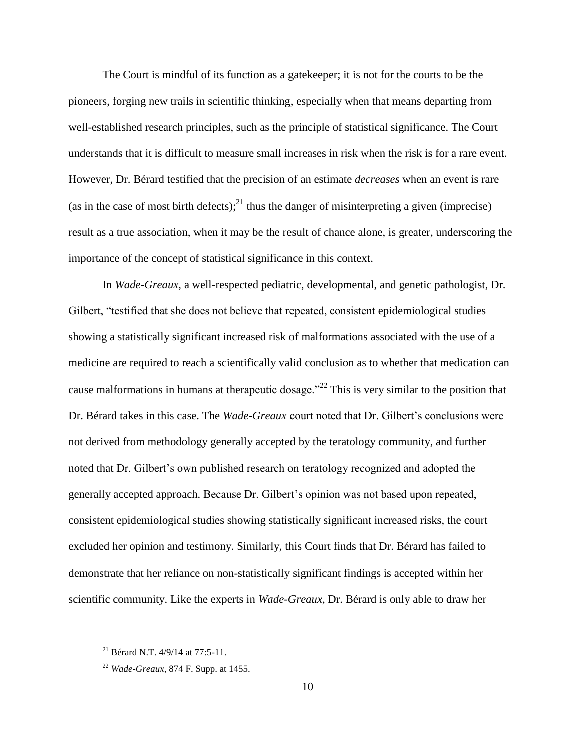The Court is mindful of its function as a gatekeeper; it is not for the courts to be the pioneers, forging new trails in scientific thinking, especially when that means departing from well-established research principles, such as the principle of statistical significance. The Court understands that it is difficult to measure small increases in risk when the risk is for a rare event. However, Dr. Bérard testified that the precision of an estimate *decreases* when an event is rare (as in the case of most birth defects);<sup>21</sup> thus the danger of misinterpreting a given (imprecise) result as a true association, when it may be the result of chance alone, is greater, underscoring the importance of the concept of statistical significance in this context.

In *Wade-Greaux*, a well-respected pediatric, developmental, and genetic pathologist, Dr. Gilbert, "testified that she does not believe that repeated, consistent epidemiological studies showing a statistically significant increased risk of malformations associated with the use of a medicine are required to reach a scientifically valid conclusion as to whether that medication can cause malformations in humans at therapeutic dosage.<sup> $22$ </sup> This is very similar to the position that Dr. Bérard takes in this case. The *Wade-Greaux* court noted that Dr. Gilbert's conclusions were not derived from methodology generally accepted by the teratology community, and further noted that Dr. Gilbert's own published research on teratology recognized and adopted the generally accepted approach. Because Dr. Gilbert's opinion was not based upon repeated, consistent epidemiological studies showing statistically significant increased risks, the court excluded her opinion and testimony. Similarly, this Court finds that Dr. Bérard has failed to demonstrate that her reliance on non-statistically significant findings is accepted within her scientific community. Like the experts in *Wade-Greaux*, Dr. Bérard is only able to draw her

<sup>&</sup>lt;sup>21</sup> Bérard N.T.  $4/9/14$  at 77:5-11.

<sup>22</sup> *Wade-Greaux*, 874 F. Supp. at 1455.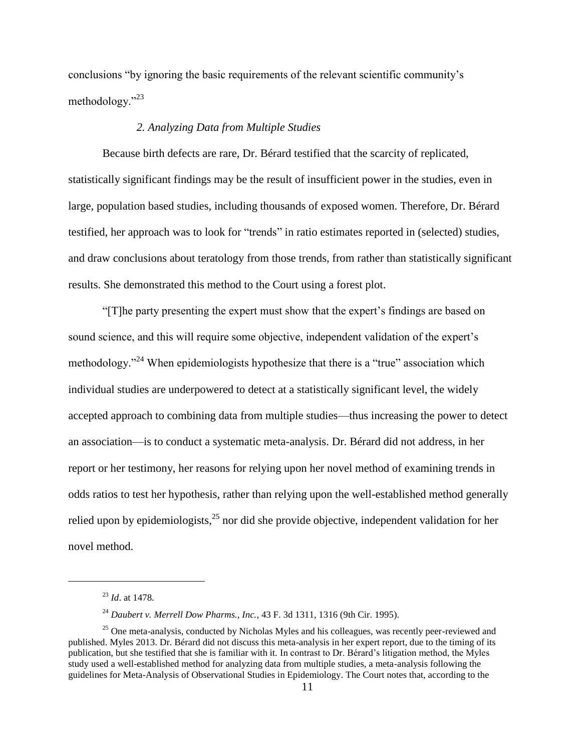conclusions "by ignoring the basic requirements of the relevant scientific community's methodology."<sup>23</sup>

### *2. Analyzing Data from Multiple Studies*

Because birth defects are rare, Dr. Bérard testified that the scarcity of replicated, statistically significant findings may be the result of insufficient power in the studies, even in large, population based studies, including thousands of exposed women. Therefore, Dr. Bérard testified, her approach was to look for "trends" in ratio estimates reported in (selected) studies, and draw conclusions about teratology from those trends, from rather than statistically significant results. She demonstrated this method to the Court using a forest plot.

"[T]he party presenting the expert must show that the expert's findings are based on sound science, and this will require some objective, independent validation of the expert's methodology."<sup>24</sup> When epidemiologists hypothesize that there is a "true" association which individual studies are underpowered to detect at a statistically significant level, the widely accepted approach to combining data from multiple studies—thus increasing the power to detect an association—is to conduct a systematic meta-analysis. Dr. Bérard did not address, in her report or her testimony, her reasons for relying upon her novel method of examining trends in odds ratios to test her hypothesis, rather than relying upon the well-established method generally relied upon by epidemiologists,<sup>25</sup> nor did she provide objective, independent validation for her novel method.

<sup>23</sup> *Id*. at 1478.

<sup>24</sup> *Daubert v. Merrell Dow Pharms., Inc.*, 43 F. 3d 1311, 1316 (9th Cir. 1995).

 $25$  One meta-analysis, conducted by Nicholas Myles and his colleagues, was recently peer-reviewed and published. Myles 2013. Dr. Bérard did not discuss this meta-analysis in her expert report, due to the timing of its publication, but she testified that she is familiar with it. In contrast to Dr. Bérard's litigation method, the Myles study used a well-established method for analyzing data from multiple studies, a meta-analysis following the guidelines for Meta-Analysis of Observational Studies in Epidemiology. The Court notes that, according to the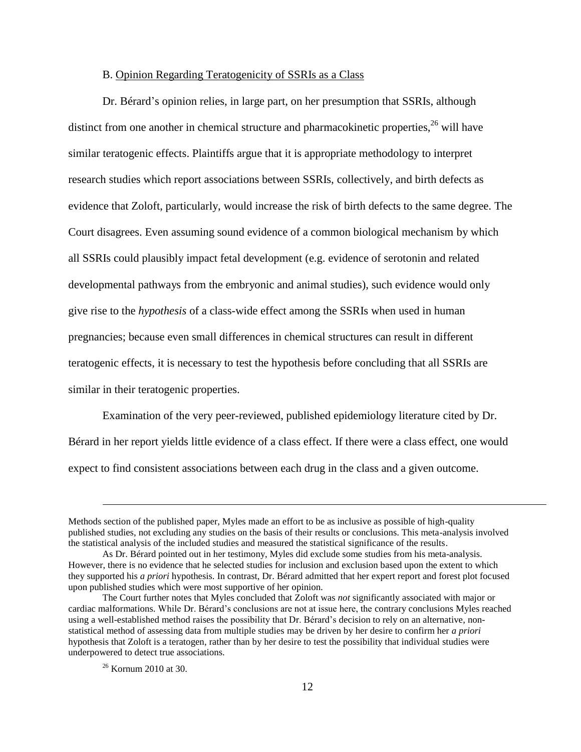#### B. Opinion Regarding Teratogenicity of SSRIs as a Class

Dr. Bérard's opinion relies, in large part, on her presumption that SSRIs, although distinct from one another in chemical structure and pharmacokinetic properties, $^{26}$  will have similar teratogenic effects. Plaintiffs argue that it is appropriate methodology to interpret research studies which report associations between SSRIs, collectively, and birth defects as evidence that Zoloft, particularly, would increase the risk of birth defects to the same degree. The Court disagrees. Even assuming sound evidence of a common biological mechanism by which all SSRIs could plausibly impact fetal development (e.g. evidence of serotonin and related developmental pathways from the embryonic and animal studies), such evidence would only give rise to the *hypothesis* of a class-wide effect among the SSRIs when used in human pregnancies; because even small differences in chemical structures can result in different teratogenic effects, it is necessary to test the hypothesis before concluding that all SSRIs are similar in their teratogenic properties.

Examination of the very peer-reviewed, published epidemiology literature cited by Dr. Bérard in her report yields little evidence of a class effect. If there were a class effect, one would expect to find consistent associations between each drug in the class and a given outcome.

Methods section of the published paper, Myles made an effort to be as inclusive as possible of high-quality published studies, not excluding any studies on the basis of their results or conclusions. This meta-analysis involved the statistical analysis of the included studies and measured the statistical significance of the results.

As Dr. Bérard pointed out in her testimony, Myles did exclude some studies from his meta-analysis. However, there is no evidence that he selected studies for inclusion and exclusion based upon the extent to which they supported his *a priori* hypothesis. In contrast, Dr. Bérard admitted that her expert report and forest plot focused upon published studies which were most supportive of her opinion.

The Court further notes that Myles concluded that Zoloft was *not* significantly associated with major or cardiac malformations. While Dr. Bérard's conclusions are not at issue here, the contrary conclusions Myles reached using a well-established method raises the possibility that Dr. Bérard's decision to rely on an alternative, nonstatistical method of assessing data from multiple studies may be driven by her desire to confirm her *a priori* hypothesis that Zoloft is a teratogen, rather than by her desire to test the possibility that individual studies were underpowered to detect true associations.

<sup>26</sup> Kornum 2010 at 30.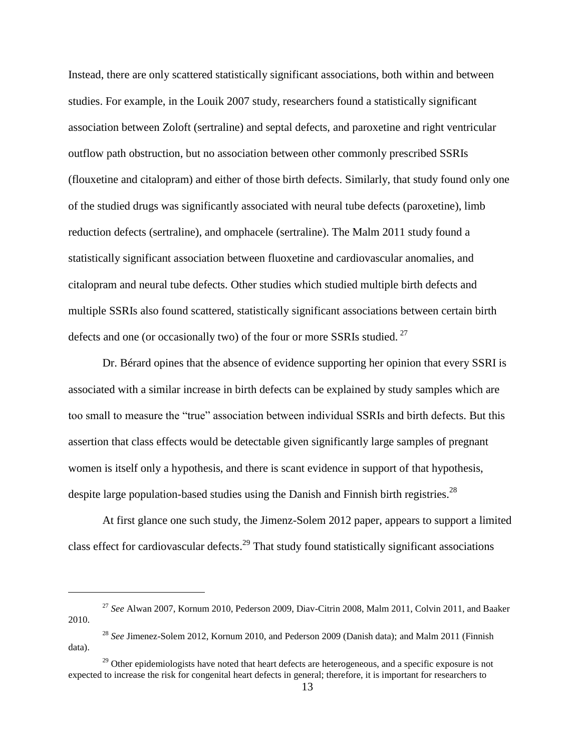Instead, there are only scattered statistically significant associations, both within and between studies. For example, in the Louik 2007 study, researchers found a statistically significant association between Zoloft (sertraline) and septal defects, and paroxetine and right ventricular outflow path obstruction, but no association between other commonly prescribed SSRIs (flouxetine and citalopram) and either of those birth defects. Similarly, that study found only one of the studied drugs was significantly associated with neural tube defects (paroxetine), limb reduction defects (sertraline), and omphacele (sertraline). The Malm 2011 study found a statistically significant association between fluoxetine and cardiovascular anomalies, and citalopram and neural tube defects. Other studies which studied multiple birth defects and multiple SSRIs also found scattered, statistically significant associations between certain birth defects and one (or occasionally two) of the four or more SSRIs studied.<sup>27</sup>

Dr. Bérard opines that the absence of evidence supporting her opinion that every SSRI is associated with a similar increase in birth defects can be explained by study samples which are too small to measure the "true" association between individual SSRIs and birth defects. But this assertion that class effects would be detectable given significantly large samples of pregnant women is itself only a hypothesis, and there is scant evidence in support of that hypothesis, despite large population-based studies using the Danish and Finnish birth registries.<sup>28</sup>

At first glance one such study, the Jimenz-Solem 2012 paper, appears to support a limited class effect for cardiovascular defects.<sup>29</sup> That study found statistically significant associations

<sup>27</sup> *See* Alwan 2007, Kornum 2010, Pederson 2009, Diav-Citrin 2008, Malm 2011, Colvin 2011, and Baaker 2010.

<sup>28</sup> *See* Jimenez-Solem 2012, Kornum 2010, and Pederson 2009 (Danish data); and Malm 2011 (Finnish data).

<sup>&</sup>lt;sup>29</sup> Other epidemiologists have noted that heart defects are heterogeneous, and a specific exposure is not expected to increase the risk for congenital heart defects in general; therefore, it is important for researchers to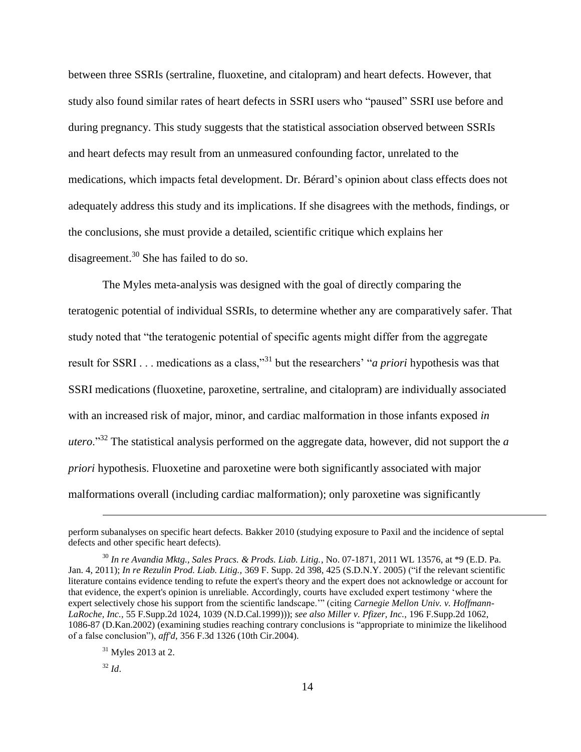between three SSRIs (sertraline, fluoxetine, and citalopram) and heart defects. However, that study also found similar rates of heart defects in SSRI users who "paused" SSRI use before and during pregnancy. This study suggests that the statistical association observed between SSRIs and heart defects may result from an unmeasured confounding factor, unrelated to the medications, which impacts fetal development. Dr. Bérard's opinion about class effects does not adequately address this study and its implications. If she disagrees with the methods, findings, or the conclusions, she must provide a detailed, scientific critique which explains her disagreement.<sup>30</sup> She has failed to do so.

The Myles meta-analysis was designed with the goal of directly comparing the teratogenic potential of individual SSRIs, to determine whether any are comparatively safer. That study noted that "the teratogenic potential of specific agents might differ from the aggregate result for SSRI . . . medications as a class,"<sup>31</sup> but the researchers' "*a priori* hypothesis was that SSRI medications (fluoxetine, paroxetine, sertraline, and citalopram) are individually associated with an increased risk of major, minor, and cardiac malformation in those infants exposed *in utero*."<sup>32</sup> The statistical analysis performed on the aggregate data, however, did not support the *a priori* hypothesis. Fluoxetine and paroxetine were both significantly associated with major malformations overall (including cardiac malformation); only paroxetine was significantly

perform subanalyses on specific heart defects. Bakker 2010 (studying exposure to Paxil and the incidence of septal defects and other specific heart defects).

<sup>30</sup> *In re Avandia Mktg., Sales Pracs. & Prods. Liab. Litig.*, No. 07-1871, 2011 WL 13576, at \*9 (E.D. Pa. Jan. 4, 2011); *In re Rezulin Prod. Liab. Litig.,* 369 F. Supp. 2d 398, 425 (S.D.N.Y. 2005) ("if the relevant scientific literature contains evidence tending to refute the expert's theory and the expert does not acknowledge or account for that evidence, the expert's opinion is unreliable. Accordingly, courts have excluded expert testimony 'where the expert selectively chose his support from the scientific landscape.'" (citing *Carnegie Mellon Univ. v. Hoffmann-LaRoche, Inc.,* 55 F.Supp.2d 1024, 1039 (N.D.Cal.1999))); *see also Miller v. Pfizer, Inc.,* 196 F.Supp.2d 1062, 1086-87 (D.Kan.2002) (examining studies reaching contrary conclusions is "appropriate to minimize the likelihood of a false conclusion"), *aff'd,* 356 F.3d 1326 (10th Cir.2004).

 $31$  Myles 2013 at 2.

 $32$  *Id.*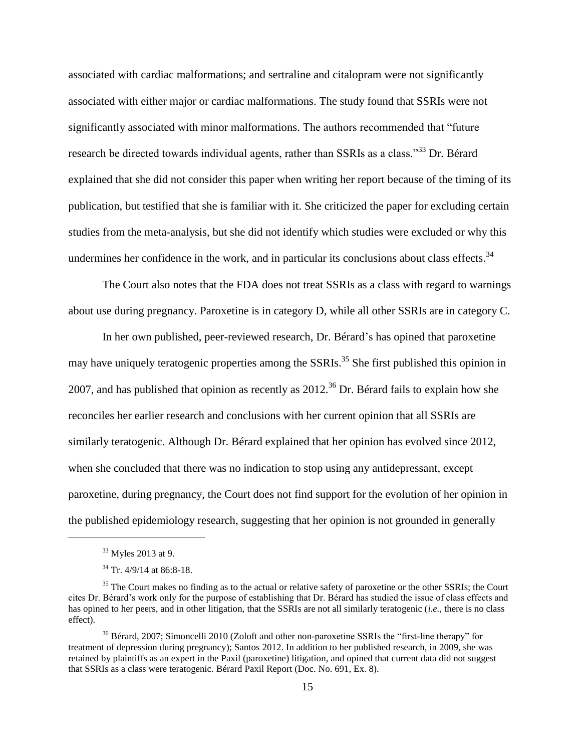associated with cardiac malformations; and sertraline and citalopram were not significantly associated with either major or cardiac malformations. The study found that SSRIs were not significantly associated with minor malformations. The authors recommended that "future research be directed towards individual agents, rather than SSRIs as a class."<sup>33</sup> Dr. Bérard explained that she did not consider this paper when writing her report because of the timing of its publication, but testified that she is familiar with it. She criticized the paper for excluding certain studies from the meta-analysis, but she did not identify which studies were excluded or why this undermines her confidence in the work, and in particular its conclusions about class effects.<sup>34</sup>

The Court also notes that the FDA does not treat SSRIs as a class with regard to warnings about use during pregnancy. Paroxetine is in category D, while all other SSRIs are in category C.

In her own published, peer-reviewed research, Dr. Bérard's has opined that paroxetine may have uniquely teratogenic properties among the SSRIs.<sup>35</sup> She first published this opinion in 2007, and has published that opinion as recently as  $2012<sup>36</sup>$  Dr. Bérard fails to explain how she reconciles her earlier research and conclusions with her current opinion that all SSRIs are similarly teratogenic. Although Dr. Bérard explained that her opinion has evolved since 2012, when she concluded that there was no indication to stop using any antidepressant, except paroxetine, during pregnancy, the Court does not find support for the evolution of her opinion in the published epidemiology research, suggesting that her opinion is not grounded in generally

<sup>&</sup>lt;sup>33</sup> Myles 2013 at 9.

 $34$  Tr. 4/9/14 at 86:8-18.

<sup>&</sup>lt;sup>35</sup> The Court makes no finding as to the actual or relative safety of paroxetine or the other SSRIs; the Court cites Dr. Bérard's work only for the purpose of establishing that Dr. Bérard has studied the issue of class effects and has opined to her peers, and in other litigation, that the SSRIs are not all similarly teratogenic (*i.e.,* there is no class effect).

<sup>&</sup>lt;sup>36</sup> Bérard, 2007; Simoncelli 2010 (Zoloft and other non-paroxetine SSRIs the "first-line therapy" for treatment of depression during pregnancy); Santos 2012. In addition to her published research, in 2009, she was retained by plaintiffs as an expert in the Paxil (paroxetine) litigation, and opined that current data did not suggest that SSRIs as a class were teratogenic. Bérard Paxil Report (Doc. No. 691, Ex. 8).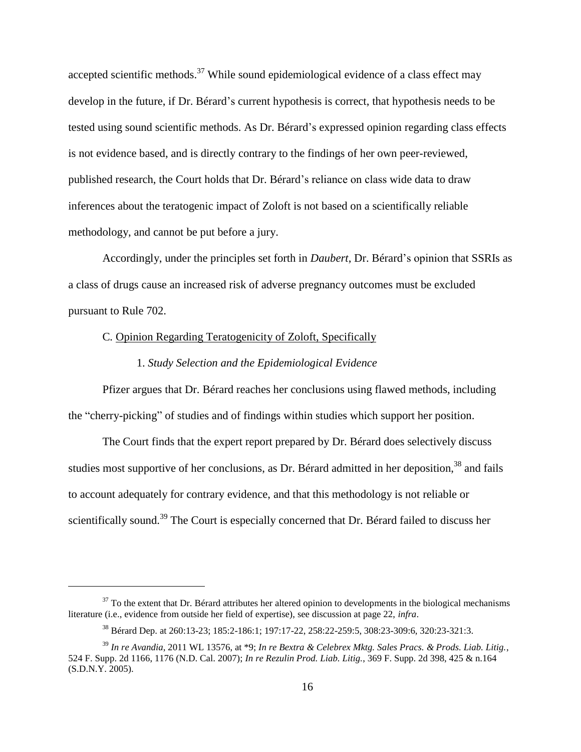accepted scientific methods.<sup>37</sup> While sound epidemiological evidence of a class effect may develop in the future, if Dr. Bérard's current hypothesis is correct, that hypothesis needs to be tested using sound scientific methods. As Dr. Bérard's expressed opinion regarding class effects is not evidence based, and is directly contrary to the findings of her own peer-reviewed, published research, the Court holds that Dr. Bérard's reliance on class wide data to draw inferences about the teratogenic impact of Zoloft is not based on a scientifically reliable methodology, and cannot be put before a jury.

Accordingly, under the principles set forth in *Daubert*, Dr. Bérard's opinion that SSRIs as a class of drugs cause an increased risk of adverse pregnancy outcomes must be excluded pursuant to Rule 702.

# C*.* Opinion Regarding Teratogenicity of Zoloft, Specifically

 $\overline{a}$ 

# 1. *Study Selection and the Epidemiological Evidence*

Pfizer argues that Dr. Bérard reaches her conclusions using flawed methods, including the "cherry-picking" of studies and of findings within studies which support her position.

The Court finds that the expert report prepared by Dr. Bérard does selectively discuss studies most supportive of her conclusions, as Dr. Bérard admitted in her deposition,<sup>38</sup> and fails to account adequately for contrary evidence, and that this methodology is not reliable or scientifically sound.<sup>39</sup> The Court is especially concerned that Dr. Bérard failed to discuss her

 $37$  To the extent that Dr. Bérard attributes her altered opinion to developments in the biological mechanisms literature (i.e., evidence from outside her field of expertise), see discussion at page 22, *infra*.

<sup>38</sup> Bérard Dep. at 260:13-23; 185:2-186:1; 197:17-22, 258:22-259:5, 308:23-309:6, 320:23-321:3.

<sup>39</sup> *In re Avandia*, 2011 WL 13576, at \*9; *In re Bextra & Celebrex Mktg. Sales Pracs. & Prods. Liab. Litig.*, 524 F. Supp. 2d 1166, 1176 (N.D. Cal. 2007); *In re Rezulin Prod. Liab. Litig.*, 369 F. Supp. 2d 398, 425 & n.164 (S.D.N.Y. 2005).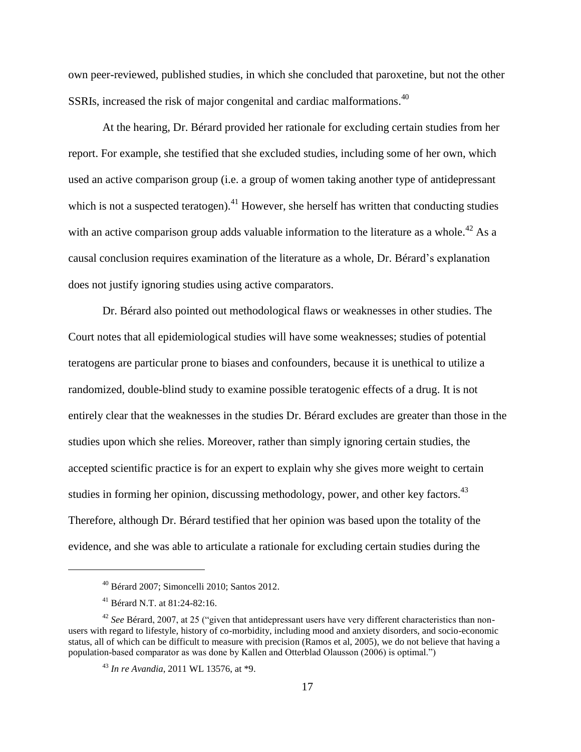own peer-reviewed, published studies, in which she concluded that paroxetine, but not the other SSRIs, increased the risk of major congenital and cardiac malformations.<sup>40</sup>

At the hearing, Dr. Bérard provided her rationale for excluding certain studies from her report. For example, she testified that she excluded studies, including some of her own, which used an active comparison group (i.e. a group of women taking another type of antidepressant which is not a suspected teratogen).<sup>41</sup> However, she herself has written that conducting studies with an active comparison group adds valuable information to the literature as a whole.<sup>42</sup> As a causal conclusion requires examination of the literature as a whole, Dr. Bérard's explanation does not justify ignoring studies using active comparators.

Dr. Bérard also pointed out methodological flaws or weaknesses in other studies. The Court notes that all epidemiological studies will have some weaknesses; studies of potential teratogens are particular prone to biases and confounders, because it is unethical to utilize a randomized, double-blind study to examine possible teratogenic effects of a drug. It is not entirely clear that the weaknesses in the studies Dr. Bérard excludes are greater than those in the studies upon which she relies. Moreover, rather than simply ignoring certain studies, the accepted scientific practice is for an expert to explain why she gives more weight to certain studies in forming her opinion, discussing methodology, power, and other key factors.<sup>43</sup> Therefore, although Dr. Bérard testified that her opinion was based upon the totality of the evidence, and she was able to articulate a rationale for excluding certain studies during the

<sup>40</sup> Bérard 2007; Simoncelli 2010; Santos 2012.

<sup>41</sup> Bérard N.T. at 81:24-82:16.

<sup>&</sup>lt;sup>42</sup> *See* Bérard, 2007, at 25 ("given that antidepressant users have very different characteristics than nonusers with regard to lifestyle, history of co-morbidity, including mood and anxiety disorders, and socio-economic status, all of which can be difficult to measure with precision (Ramos et al, 2005), we do not believe that having a population-based comparator as was done by Kallen and Otterblad Olausson (2006) is optimal.")

<sup>43</sup> *In re Avandia*, 2011 WL 13576, at \*9.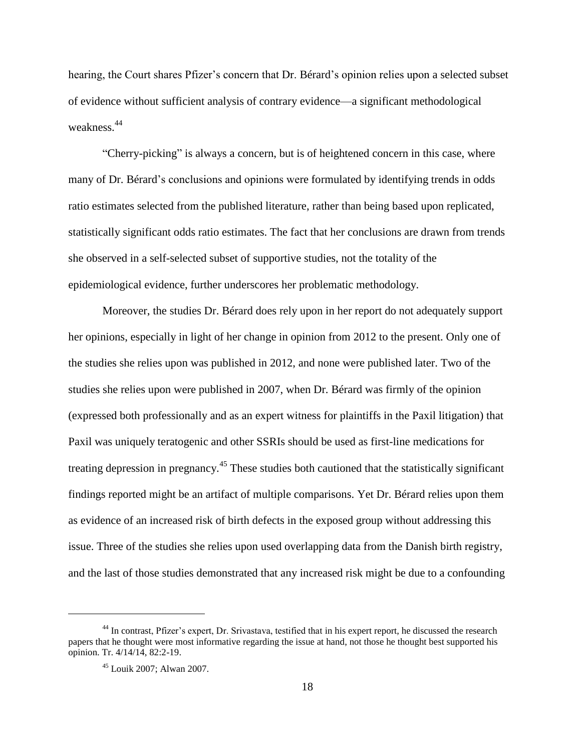hearing, the Court shares Pfizer's concern that Dr. Bérard's opinion relies upon a selected subset of evidence without sufficient analysis of contrary evidence—a significant methodological weakness. 44

"Cherry-picking" is always a concern, but is of heightened concern in this case, where many of Dr. Bérard's conclusions and opinions were formulated by identifying trends in odds ratio estimates selected from the published literature, rather than being based upon replicated, statistically significant odds ratio estimates. The fact that her conclusions are drawn from trends she observed in a self-selected subset of supportive studies, not the totality of the epidemiological evidence, further underscores her problematic methodology.

Moreover, the studies Dr. Bérard does rely upon in her report do not adequately support her opinions, especially in light of her change in opinion from 2012 to the present. Only one of the studies she relies upon was published in 2012, and none were published later. Two of the studies she relies upon were published in 2007, when Dr. Bérard was firmly of the opinion (expressed both professionally and as an expert witness for plaintiffs in the Paxil litigation) that Paxil was uniquely teratogenic and other SSRIs should be used as first-line medications for treating depression in pregnancy.<sup>45</sup> These studies both cautioned that the statistically significant findings reported might be an artifact of multiple comparisons. Yet Dr. Bérard relies upon them as evidence of an increased risk of birth defects in the exposed group without addressing this issue. Three of the studies she relies upon used overlapping data from the Danish birth registry, and the last of those studies demonstrated that any increased risk might be due to a confounding

<sup>44</sup> In contrast, Pfizer's expert, Dr. Srivastava, testified that in his expert report, he discussed the research papers that he thought were most informative regarding the issue at hand, not those he thought best supported his opinion. Tr. 4/14/14, 82:2-19.

<sup>45</sup> Louik 2007; Alwan 2007.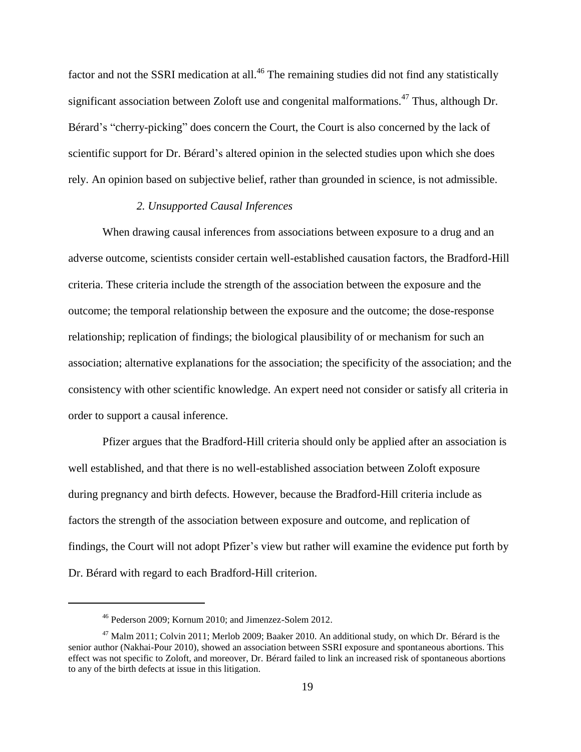factor and not the SSRI medication at all.<sup>46</sup> The remaining studies did not find any statistically significant association between Zoloft use and congenital malformations.<sup>47</sup> Thus, although Dr. Bérard's "cherry-picking" does concern the Court, the Court is also concerned by the lack of scientific support for Dr. Bérard's altered opinion in the selected studies upon which she does rely. An opinion based on subjective belief, rather than grounded in science, is not admissible.

#### *2. Unsupported Causal Inferences*

When drawing causal inferences from associations between exposure to a drug and an adverse outcome, scientists consider certain well-established causation factors, the Bradford-Hill criteria. These criteria include the strength of the association between the exposure and the outcome; the temporal relationship between the exposure and the outcome; the dose-response relationship; replication of findings; the biological plausibility of or mechanism for such an association; alternative explanations for the association; the specificity of the association; and the consistency with other scientific knowledge. An expert need not consider or satisfy all criteria in order to support a causal inference.

Pfizer argues that the Bradford-Hill criteria should only be applied after an association is well established, and that there is no well-established association between Zoloft exposure during pregnancy and birth defects. However, because the Bradford-Hill criteria include as factors the strength of the association between exposure and outcome, and replication of findings, the Court will not adopt Pfizer's view but rather will examine the evidence put forth by Dr. Bérard with regard to each Bradford-Hill criterion.

<sup>46</sup> Pederson 2009; Kornum 2010; and Jimenzez-Solem 2012.

<sup>&</sup>lt;sup>47</sup> Malm 2011; Colvin 2011; Merlob 2009; Baaker 2010. An additional study, on which Dr. Bérard is the senior author (Nakhai-Pour 2010), showed an association between SSRI exposure and spontaneous abortions. This effect was not specific to Zoloft, and moreover, Dr. Bérard failed to link an increased risk of spontaneous abortions to any of the birth defects at issue in this litigation.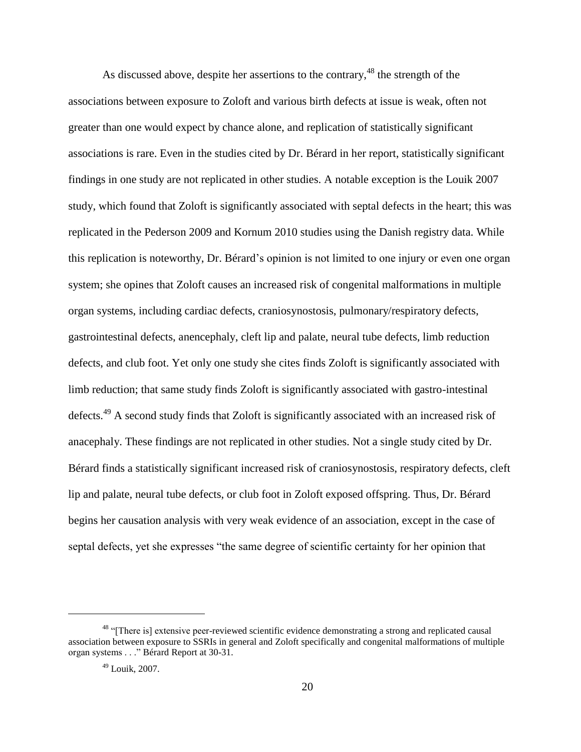As discussed above, despite her assertions to the contrary,  $48$  the strength of the associations between exposure to Zoloft and various birth defects at issue is weak, often not greater than one would expect by chance alone, and replication of statistically significant associations is rare. Even in the studies cited by Dr. Bérard in her report, statistically significant findings in one study are not replicated in other studies. A notable exception is the Louik 2007 study, which found that Zoloft is significantly associated with septal defects in the heart; this was replicated in the Pederson 2009 and Kornum 2010 studies using the Danish registry data. While this replication is noteworthy, Dr. Bérard's opinion is not limited to one injury or even one organ system; she opines that Zoloft causes an increased risk of congenital malformations in multiple organ systems, including cardiac defects, craniosynostosis, pulmonary/respiratory defects, gastrointestinal defects, anencephaly, cleft lip and palate, neural tube defects, limb reduction defects, and club foot. Yet only one study she cites finds Zoloft is significantly associated with limb reduction; that same study finds Zoloft is significantly associated with gastro-intestinal defects.<sup>49</sup> A second study finds that Zoloft is significantly associated with an increased risk of anacephaly. These findings are not replicated in other studies. Not a single study cited by Dr. Bérard finds a statistically significant increased risk of craniosynostosis, respiratory defects, cleft lip and palate, neural tube defects, or club foot in Zoloft exposed offspring. Thus, Dr. Bérard begins her causation analysis with very weak evidence of an association, except in the case of septal defects, yet she expresses "the same degree of scientific certainty for her opinion that

<sup>&</sup>lt;sup>48</sup> "[There is] extensive peer-reviewed scientific evidence demonstrating a strong and replicated causal association between exposure to SSRIs in general and Zoloft specifically and congenital malformations of multiple organ systems . . ." Bérard Report at 30-31.

<sup>49</sup> Louik, 2007.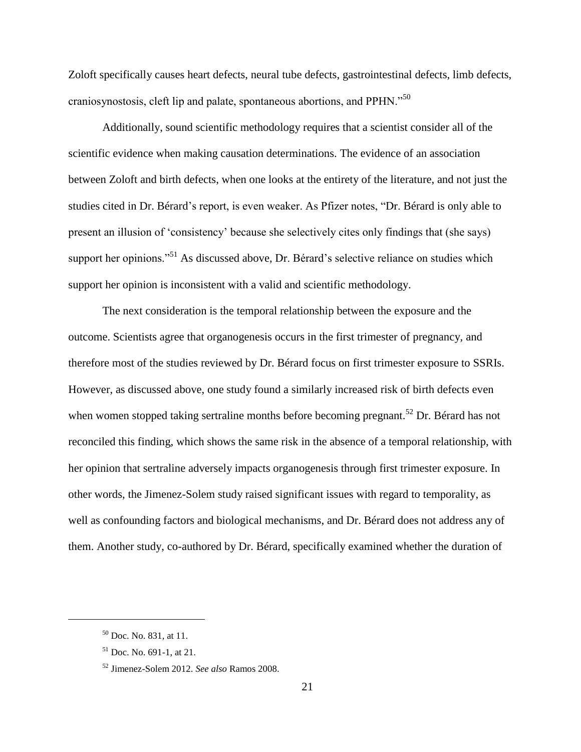Zoloft specifically causes heart defects, neural tube defects, gastrointestinal defects, limb defects, craniosynostosis, cleft lip and palate, spontaneous abortions, and PPHN."<sup>50</sup>

Additionally, sound scientific methodology requires that a scientist consider all of the scientific evidence when making causation determinations. The evidence of an association between Zoloft and birth defects, when one looks at the entirety of the literature, and not just the studies cited in Dr. Bérard's report, is even weaker. As Pfizer notes, "Dr. Bérard is only able to present an illusion of 'consistency' because she selectively cites only findings that (she says) support her opinions."<sup>51</sup> As discussed above, Dr. Bérard's selective reliance on studies which support her opinion is inconsistent with a valid and scientific methodology.

The next consideration is the temporal relationship between the exposure and the outcome. Scientists agree that organogenesis occurs in the first trimester of pregnancy, and therefore most of the studies reviewed by Dr. Bérard focus on first trimester exposure to SSRIs. However, as discussed above, one study found a similarly increased risk of birth defects even when women stopped taking sertraline months before becoming pregnant.<sup>52</sup> Dr. Bérard has not reconciled this finding, which shows the same risk in the absence of a temporal relationship, with her opinion that sertraline adversely impacts organogenesis through first trimester exposure. In other words, the Jimenez-Solem study raised significant issues with regard to temporality, as well as confounding factors and biological mechanisms, and Dr. Bérard does not address any of them. Another study, co-authored by Dr. Bérard, specifically examined whether the duration of

<sup>50</sup> Doc. No. 831, at 11.

<sup>51</sup> Doc. No. 691-1, at 21.

<sup>52</sup> Jimenez-Solem 2012. *See also* Ramos 2008.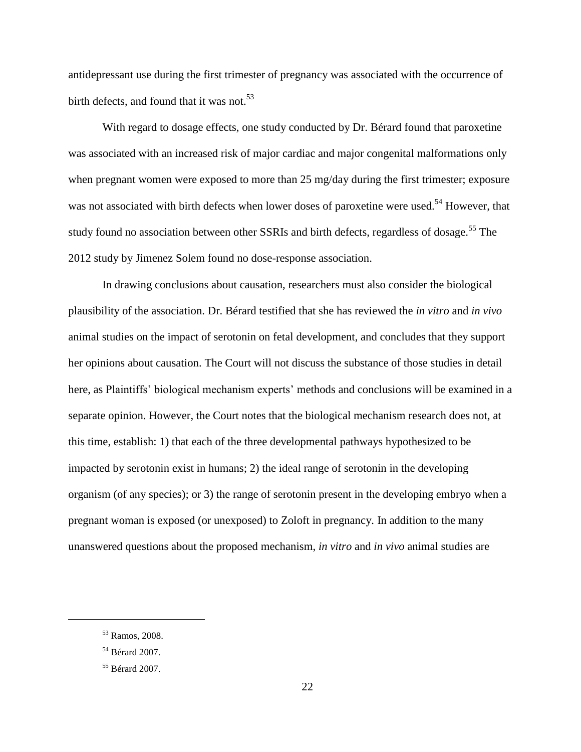antidepressant use during the first trimester of pregnancy was associated with the occurrence of birth defects, and found that it was not.<sup>53</sup>

With regard to dosage effects, one study conducted by Dr. Bérard found that paroxetine was associated with an increased risk of major cardiac and major congenital malformations only when pregnant women were exposed to more than 25 mg/day during the first trimester; exposure was not associated with birth defects when lower doses of paroxetine were used.<sup>54</sup> However, that study found no association between other SSRIs and birth defects, regardless of dosage.<sup>55</sup> The 2012 study by Jimenez Solem found no dose-response association.

In drawing conclusions about causation, researchers must also consider the biological plausibility of the association. Dr. Bérard testified that she has reviewed the *in vitro* and *in vivo*  animal studies on the impact of serotonin on fetal development, and concludes that they support her opinions about causation. The Court will not discuss the substance of those studies in detail here, as Plaintiffs' biological mechanism experts' methods and conclusions will be examined in a separate opinion. However, the Court notes that the biological mechanism research does not, at this time, establish: 1) that each of the three developmental pathways hypothesized to be impacted by serotonin exist in humans; 2) the ideal range of serotonin in the developing organism (of any species); or 3) the range of serotonin present in the developing embryo when a pregnant woman is exposed (or unexposed) to Zoloft in pregnancy. In addition to the many unanswered questions about the proposed mechanism, *in vitro* and *in vivo* animal studies are

<sup>53</sup> Ramos, 2008.

<sup>54</sup> Bérard 2007.

<sup>55</sup> Bérard 2007.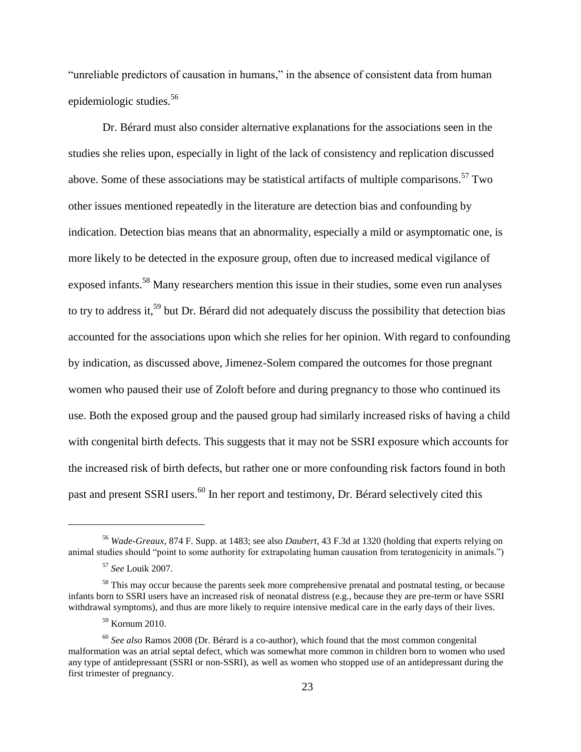"unreliable predictors of causation in humans," in the absence of consistent data from human epidemiologic studies.<sup>56</sup>

Dr. Bérard must also consider alternative explanations for the associations seen in the studies she relies upon, especially in light of the lack of consistency and replication discussed above. Some of these associations may be statistical artifacts of multiple comparisons.<sup>57</sup> Two other issues mentioned repeatedly in the literature are detection bias and confounding by indication. Detection bias means that an abnormality, especially a mild or asymptomatic one, is more likely to be detected in the exposure group, often due to increased medical vigilance of exposed infants.<sup>58</sup> Many researchers mention this issue in their studies, some even run analyses to try to address it,<sup>59</sup> but Dr. Bérard did not adequately discuss the possibility that detection bias accounted for the associations upon which she relies for her opinion. With regard to confounding by indication, as discussed above, Jimenez-Solem compared the outcomes for those pregnant women who paused their use of Zoloft before and during pregnancy to those who continued its use. Both the exposed group and the paused group had similarly increased risks of having a child with congenital birth defects. This suggests that it may not be SSRI exposure which accounts for the increased risk of birth defects, but rather one or more confounding risk factors found in both past and present SSRI users.<sup>60</sup> In her report and testimony, Dr. Bérard selectively cited this

<sup>56</sup> *Wade-Greaux*, 874 F. Supp. at 1483; see also *Daubert*, 43 F.3d at 1320 (holding that experts relying on animal studies should "point to some authority for extrapolating human causation from teratogenicity in animals.")

<sup>57</sup> *See* Louik 2007.

<sup>&</sup>lt;sup>58</sup> This may occur because the parents seek more comprehensive prenatal and postnatal testing, or because infants born to SSRI users have an increased risk of neonatal distress (e.g., because they are pre-term or have SSRI withdrawal symptoms), and thus are more likely to require intensive medical care in the early days of their lives.

<sup>59</sup> Kornum 2010.

<sup>60</sup> *See also* Ramos 2008 (Dr. Bérard is a co-author), which found that the most common congenital malformation was an atrial septal defect, which was somewhat more common in children born to women who used any type of antidepressant (SSRI or non-SSRI), as well as women who stopped use of an antidepressant during the first trimester of pregnancy.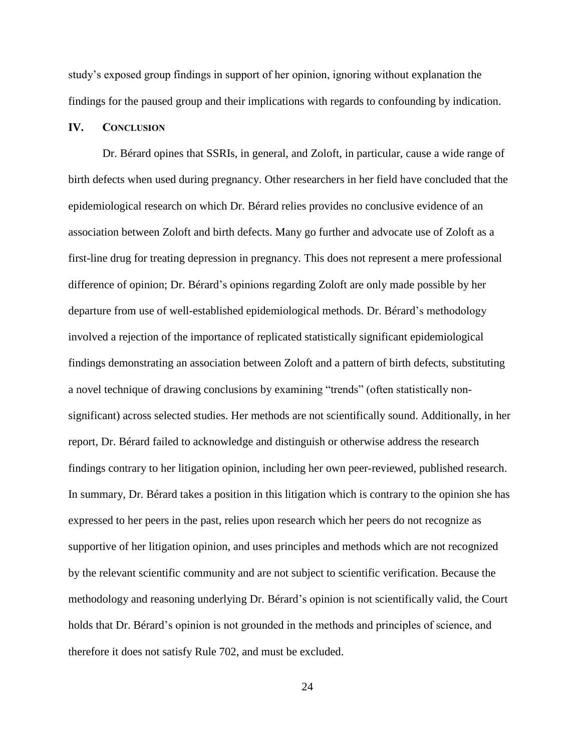study's exposed group findings in support of her opinion, ignoring without explanation the findings for the paused group and their implications with regards to confounding by indication.

### **IV. CONCLUSION**

Dr. Bérard opines that SSRIs, in general, and Zoloft, in particular, cause a wide range of birth defects when used during pregnancy. Other researchers in her field have concluded that the epidemiological research on which Dr. Bérard relies provides no conclusive evidence of an association between Zoloft and birth defects. Many go further and advocate use of Zoloft as a first-line drug for treating depression in pregnancy. This does not represent a mere professional difference of opinion; Dr. Bérard's opinions regarding Zoloft are only made possible by her departure from use of well-established epidemiological methods. Dr. Bérard's methodology involved a rejection of the importance of replicated statistically significant epidemiological findings demonstrating an association between Zoloft and a pattern of birth defects, substituting a novel technique of drawing conclusions by examining "trends" (often statistically nonsignificant) across selected studies. Her methods are not scientifically sound. Additionally, in her report, Dr. Bérard failed to acknowledge and distinguish or otherwise address the research findings contrary to her litigation opinion, including her own peer-reviewed, published research. In summary, Dr. Bérard takes a position in this litigation which is contrary to the opinion she has expressed to her peers in the past, relies upon research which her peers do not recognize as supportive of her litigation opinion, and uses principles and methods which are not recognized by the relevant scientific community and are not subject to scientific verification. Because the methodology and reasoning underlying Dr. Bérard's opinion is not scientifically valid, the Court holds that Dr. Bérard's opinion is not grounded in the methods and principles of science, and therefore it does not satisfy Rule 702, and must be excluded.

24